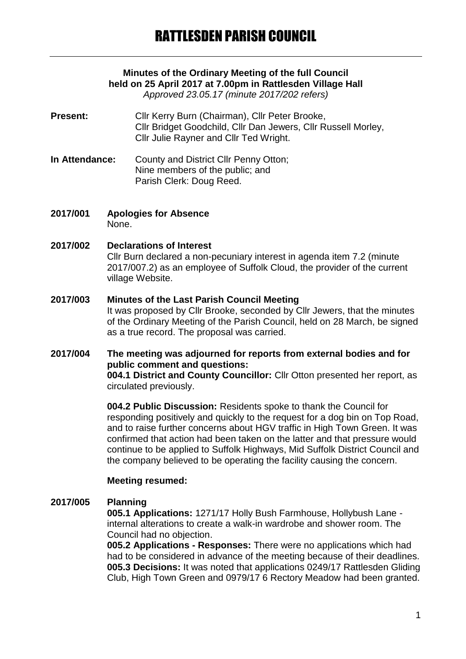# **Minutes of the Ordinary Meeting of the full Council held on 25 April 2017 at 7.00pm in Rattlesden Village Hall**

*Approved 23.05.17 (minute 2017/202 refers)*

- Present: Cllr Kerry Burn (Chairman), Cllr Peter Brooke, Cllr Bridget Goodchild, Cllr Dan Jewers, Cllr Russell Morley, Cllr Julie Rayner and Cllr Ted Wright.
- **In Attendance:** County and District Cllr Penny Otton; Nine members of the public; and Parish Clerk: Doug Reed.
- **2017/001 Apologies for Absence** None.

## **2017/002 Declarations of Interest**

Cllr Burn declared a non-pecuniary interest in agenda item 7.2 (minute 2017/007.2) as an employee of Suffolk Cloud, the provider of the current village Website.

#### **2017/003 Minutes of the Last Parish Council Meeting**

It was proposed by Cllr Brooke, seconded by Cllr Jewers, that the minutes of the Ordinary Meeting of the Parish Council, held on 28 March, be signed as a true record. The proposal was carried.

#### **2017/004 The meeting was adjourned for reports from external bodies and for public comment and questions: 004.1 District and County Councillor:** Cllr Otton presented her report, as

circulated previously.

**004.2 Public Discussion:** Residents spoke to thank the Council for responding positively and quickly to the request for a dog bin on Top Road, and to raise further concerns about HGV traffic in High Town Green. It was confirmed that action had been taken on the latter and that pressure would continue to be applied to Suffolk Highways, Mid Suffolk District Council and the company believed to be operating the facility causing the concern.

### **Meeting resumed:**

### **2017/005 Planning**

**005.1 Applications:** 1271/17 Holly Bush Farmhouse, Hollybush Lane internal alterations to create a walk-in wardrobe and shower room. The Council had no objection.

**005.2 Applications - Responses:** There were no applications which had had to be considered in advance of the meeting because of their deadlines. **005.3 Decisions:** It was noted that applications 0249/17 Rattlesden Gliding Club, High Town Green and 0979/17 6 Rectory Meadow had been granted.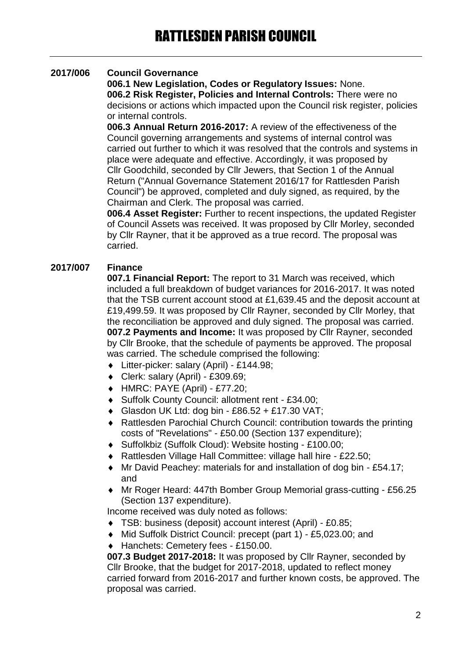# **2017/006 Council Governance**

**006.1 New Legislation, Codes or Regulatory Issues:** None. **006.2 Risk Register, Policies and Internal Controls:** There were no decisions or actions which impacted upon the Council risk register, policies or internal controls.

**006.3 Annual Return 2016-2017:** A review of the effectiveness of the Council governing arrangements and systems of internal control was carried out further to which it was resolved that the controls and systems in place were adequate and effective. Accordingly, it was proposed by Cllr Goodchild, seconded by Cllr Jewers, that Section 1 of the Annual Return ("Annual Governance Statement 2016/17 for Rattlesden Parish Council") be approved, completed and duly signed, as required, by the Chairman and Clerk. The proposal was carried.

**006.4 Asset Register:** Further to recent inspections, the updated Register of Council Assets was received. It was proposed by Cllr Morley, seconded by Cllr Rayner, that it be approved as a true record. The proposal was carried.

# **2017/007 Finance**

**007.1 Financial Report:** The report to 31 March was received, which included a full breakdown of budget variances for 2016-2017. It was noted that the TSB current account stood at £1,639.45 and the deposit account at £19,499.59. It was proposed by Cllr Rayner, seconded by Cllr Morley, that the reconciliation be approved and duly signed. The proposal was carried. **007.2 Payments and Income:** It was proposed by Cllr Rayner, seconded by Cllr Brooke, that the schedule of payments be approved. The proposal was carried. The schedule comprised the following:

- Litter-picker: salary (April) £144.98;
- Clerk: salary (April) £309.69;
- HMRC: PAYE (April) £77.20;
- Suffolk County Council: allotment rent £34.00;
- Glasdon UK Ltd: dog bin £86.52 + £17.30 VAT;
- Rattlesden Parochial Church Council: contribution towards the printing costs of "Revelations" - £50.00 (Section 137 expenditure);
- Suffolkbiz (Suffolk Cloud): Website hosting £100.00;
- ◆ Rattlesden Village Hall Committee: village hall hire £22.50;
- Mr David Peachey: materials for and installation of dog bin £54.17; and
- Mr Roger Heard: 447th Bomber Group Memorial grass-cutting £56.25 (Section 137 expenditure).

Income received was duly noted as follows:

- TSB: business (deposit) account interest (April) £0.85;
- Mid Suffolk District Council: precept (part 1) £5,023.00; and
- ◆ Hanchets: Cemetery fees £150.00.

**007.3 Budget 2017-2018:** It was proposed by Cllr Rayner, seconded by Cllr Brooke, that the budget for 2017-2018, updated to reflect money carried forward from 2016-2017 and further known costs, be approved. The proposal was carried.